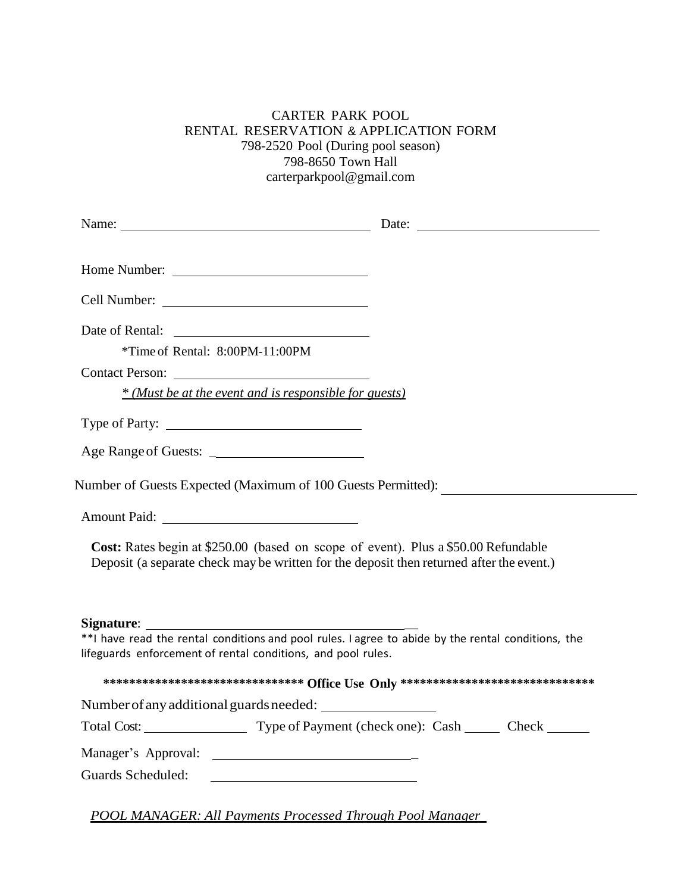## CARTER PARK POOL RENTAL RESERVATION & APPLICATION FORM 798-2520 Pool (During pool season)<br>798-8650 Town Hall carterparkpool@gmail.com

|                                                                                                                                                                                | Date: $\qquad \qquad$ |
|--------------------------------------------------------------------------------------------------------------------------------------------------------------------------------|-----------------------|
|                                                                                                                                                                                |                       |
|                                                                                                                                                                                |                       |
|                                                                                                                                                                                |                       |
|                                                                                                                                                                                |                       |
| *Time of Rental: 8:00PM-11:00PM                                                                                                                                                |                       |
| Contact Person:                                                                                                                                                                |                       |
| * (Must be at the event and is responsible for guests)                                                                                                                         |                       |
|                                                                                                                                                                                |                       |
|                                                                                                                                                                                |                       |
| Number of Guests Expected (Maximum of 100 Guests Permitted):                                                                                                                   |                       |
|                                                                                                                                                                                |                       |
| Cost: Rates begin at \$250.00 (based on scope of event). Plus a \$50.00 Refundable<br>Deposit (a separate check may be written for the deposit then returned after the event.) |                       |
| Signature:                                                                                                                                                                     |                       |
| **I have read the rental conditions and pool rules. I agree to abide by the rental conditions, the<br>lifeguards enforcement of rental conditions, and pool rules.             |                       |
| ********************************** Office Use Only ******************************                                                                                              |                       |
| Number of any additional guards needed:                                                                                                                                        |                       |
| Total Cost: Type of Payment (check one): Cash Check _______                                                                                                                    |                       |
| Manager's Approval:                                                                                                                                                            |                       |
| Guards Scheduled:<br><u> 1980 - Andrea Station Barbara, amerikan personal (h. 1980).</u>                                                                                       |                       |
|                                                                                                                                                                                |                       |

POOL MANAGER: All Payments Processed Through Pool Manager